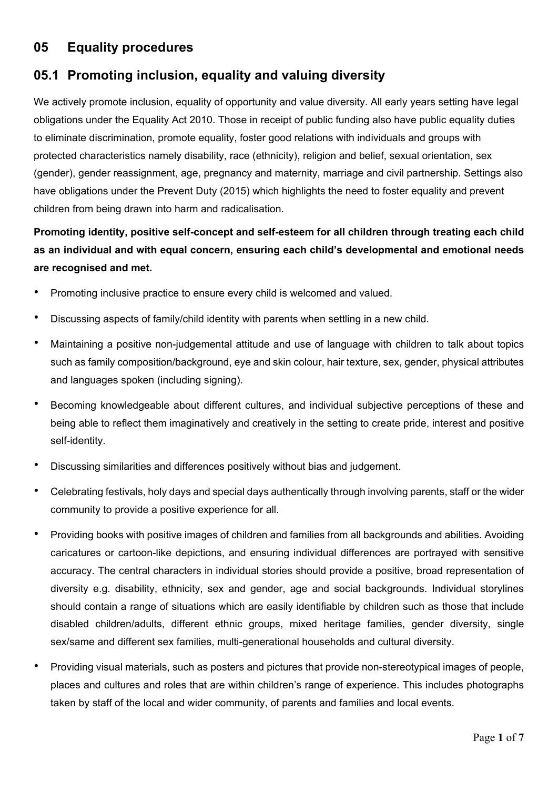# **05 Equality procedures**

### **05.1 Promoting inclusion, equality and valuing diversity**

We actively promote inclusion, equality of opportunity and value diversity. All early years setting have legal obligations under the Equality Act 2010. Those in receipt of public funding also have public equality duties to eliminate discrimination, promote equality, foster good relations with individuals and groups with protected characteristics namely disability, race (ethnicity), religion and belief, sexual orientation, sex (gender), gender reassignment, age, pregnancy and maternity, marriage and civil partnership. Settings also have obligations under the Prevent Duty (2015) which highlights the need to foster equality and prevent children from being drawn into harm and radicalisation.

# **Promoting identity, positive self-concept and self-esteem for all children through treating each child as an individual and with equal concern, ensuring each child's developmental and emotional needs are recognised and met.**

- Promoting inclusive practice to ensure every child is welcomed and valued.
- Discussing aspects of family/child identity with parents when settling in a new child.
- Maintaining a positive non-judgemental attitude and use of language with children to talk about topics such as family composition/background, eye and skin colour, hair texture, sex, gender, physical attributes and languages spoken (including signing).
- Becoming knowledgeable about different cultures, and individual subjective perceptions of these and being able to reflect them imaginatively and creatively in the setting to create pride, interest and positive self-identity.
- Discussing similarities and differences positively without bias and judgement.
- Celebrating festivals, holy days and special days authentically through involving parents, staff or the wider community to provide a positive experience for all.
- Providing books with positive images of children and families from all backgrounds and abilities. Avoiding caricatures or cartoon-like depictions, and ensuring individual differences are portrayed with sensitive accuracy. The central characters in individual stories should provide a positive, broad representation of diversity e.g. disability, ethnicity, sex and gender, age and social backgrounds. Individual storylines should contain a range of situations which are easily identifiable by children such as those that include disabled children/adults, different ethnic groups, mixed heritage families, gender diversity, single sex/same and different sex families, multi-generational households and cultural diversity.
- Providing visual materials, such as posters and pictures that provide non-stereotypical images of people, places and cultures and roles that are within children's range of experience. This includes photographs taken by staff of the local and wider community, of parents and families and local events.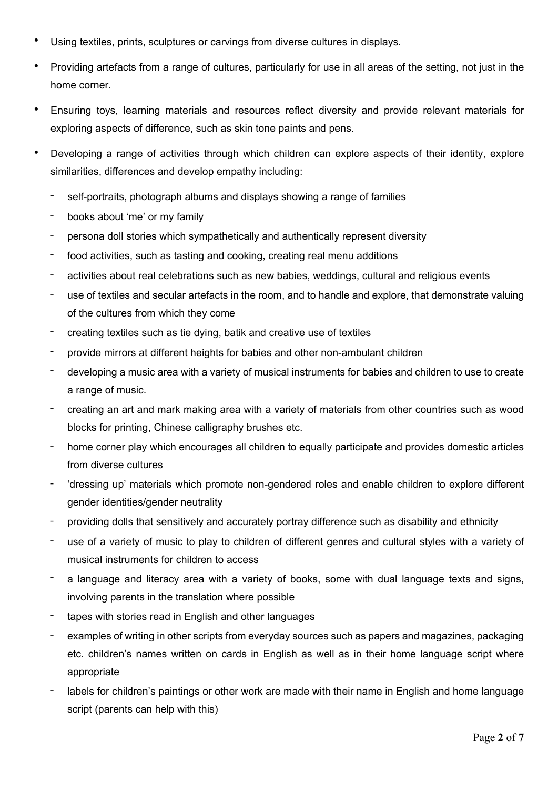- Using textiles, prints, sculptures or carvings from diverse cultures in displays.
- Providing artefacts from a range of cultures, particularly for use in all areas of the setting, not just in the home corner.
- Ensuring toys, learning materials and resources reflect diversity and provide relevant materials for exploring aspects of difference, such as skin tone paints and pens.
- Developing a range of activities through which children can explore aspects of their identity, explore similarities, differences and develop empathy including:
	- self-portraits, photograph albums and displays showing a range of families
	- books about 'me' or my family
	- persona doll stories which sympathetically and authentically represent diversity
	- food activities, such as tasting and cooking, creating real menu additions
	- activities about real celebrations such as new babies, weddings, cultural and religious events
	- use of textiles and secular artefacts in the room, and to handle and explore, that demonstrate valuing of the cultures from which they come
	- creating textiles such as tie dying, batik and creative use of textiles
	- provide mirrors at different heights for babies and other non-ambulant children
	- developing a music area with a variety of musical instruments for babies and children to use to create a range of music.
	- creating an art and mark making area with a variety of materials from other countries such as wood blocks for printing, Chinese calligraphy brushes etc.
	- home corner play which encourages all children to equally participate and provides domestic articles from diverse cultures
	- 'dressing up' materials which promote non-gendered roles and enable children to explore different gender identities/gender neutrality
	- providing dolls that sensitively and accurately portray difference such as disability and ethnicity
	- use of a variety of music to play to children of different genres and cultural styles with a variety of musical instruments for children to access
	- a language and literacy area with a variety of books, some with dual language texts and signs, involving parents in the translation where possible
	- tapes with stories read in English and other languages
	- examples of writing in other scripts from everyday sources such as papers and magazines, packaging etc. children's names written on cards in English as well as in their home language script where appropriate
	- labels for children's paintings or other work are made with their name in English and home language script (parents can help with this)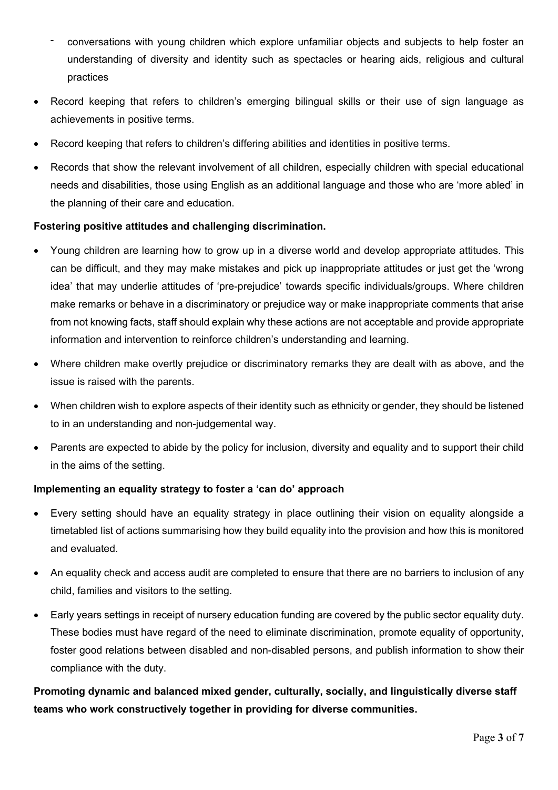- conversations with young children which explore unfamiliar objects and subjects to help foster an understanding of diversity and identity such as spectacles or hearing aids, religious and cultural practices
- Record keeping that refers to children's emerging bilingual skills or their use of sign language as achievements in positive terms.
- Record keeping that refers to children's differing abilities and identities in positive terms.
- Records that show the relevant involvement of all children, especially children with special educational needs and disabilities, those using English as an additional language and those who are 'more abled' in the planning of their care and education.

### **Fostering positive attitudes and challenging discrimination.**

- Young children are learning how to grow up in a diverse world and develop appropriate attitudes. This can be difficult, and they may make mistakes and pick up inappropriate attitudes or just get the 'wrong idea' that may underlie attitudes of 'pre-prejudice' towards specific individuals/groups. Where children make remarks or behave in a discriminatory or prejudice way or make inappropriate comments that arise from not knowing facts, staff should explain why these actions are not acceptable and provide appropriate information and intervention to reinforce children's understanding and learning.
- Where children make overtly prejudice or discriminatory remarks they are dealt with as above, and the issue is raised with the parents.
- When children wish to explore aspects of their identity such as ethnicity or gender, they should be listened to in an understanding and non-judgemental way.
- Parents are expected to abide by the policy for inclusion, diversity and equality and to support their child in the aims of the setting.

### **Implementing an equality strategy to foster a 'can do' approach**

- Every setting should have an equality strategy in place outlining their vision on equality alongside a timetabled list of actions summarising how they build equality into the provision and how this is monitored and evaluated.
- An equality check and access audit are completed to ensure that there are no barriers to inclusion of any child, families and visitors to the setting.
- Early years settings in receipt of nursery education funding are covered by the public sector equality duty. These bodies must have regard of the need to eliminate discrimination, promote equality of opportunity, foster good relations between disabled and non-disabled persons, and publish information to show their compliance with the duty.

**Promoting dynamic and balanced mixed gender, culturally, socially, and linguistically diverse staff teams who work constructively together in providing for diverse communities.**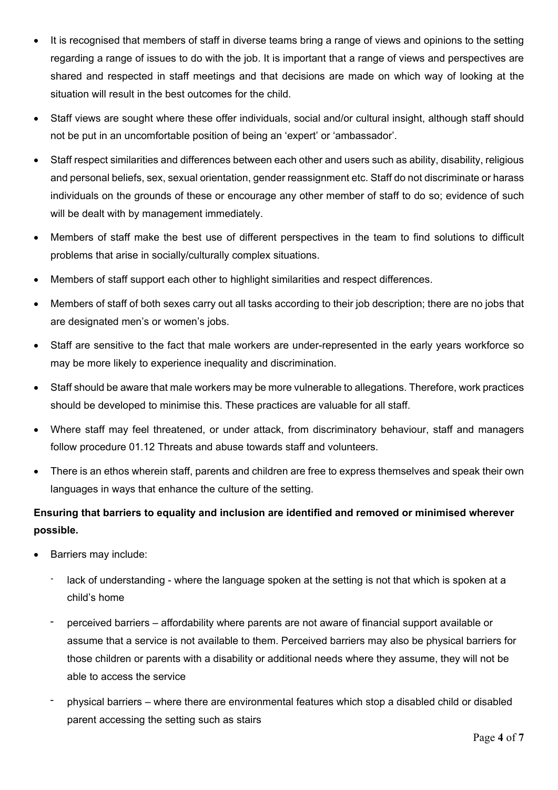- It is recognised that members of staff in diverse teams bring a range of views and opinions to the setting regarding a range of issues to do with the job. It is important that a range of views and perspectives are shared and respected in staff meetings and that decisions are made on which way of looking at the situation will result in the best outcomes for the child.
- Staff views are sought where these offer individuals, social and/or cultural insight, although staff should not be put in an uncomfortable position of being an 'expert' or 'ambassador'.
- Staff respect similarities and differences between each other and users such as ability, disability, religious and personal beliefs, sex, sexual orientation, gender reassignment etc. Staff do not discriminate or harass individuals on the grounds of these or encourage any other member of staff to do so; evidence of such will be dealt with by management immediately.
- Members of staff make the best use of different perspectives in the team to find solutions to difficult problems that arise in socially/culturally complex situations.
- Members of staff support each other to highlight similarities and respect differences.
- Members of staff of both sexes carry out all tasks according to their job description; there are no jobs that are designated men's or women's jobs.
- Staff are sensitive to the fact that male workers are under-represented in the early years workforce so may be more likely to experience inequality and discrimination.
- Staff should be aware that male workers may be more vulnerable to allegations. Therefore, work practices should be developed to minimise this. These practices are valuable for all staff.
- Where staff may feel threatened, or under attack, from discriminatory behaviour, staff and managers follow procedure 01.12 Threats and abuse towards staff and volunteers.
- There is an ethos wherein staff, parents and children are free to express themselves and speak their own languages in ways that enhance the culture of the setting.

### **Ensuring that barriers to equality and inclusion are identified and removed or minimised wherever possible.**

- Barriers may include:
	- lack of understanding where the language spoken at the setting is not that which is spoken at a child's home
	- perceived barriers affordability where parents are not aware of financial support available or assume that a service is not available to them. Perceived barriers may also be physical barriers for those children or parents with a disability or additional needs where they assume, they will not be able to access the service
	- physical barriers where there are environmental features which stop a disabled child or disabled parent accessing the setting such as stairs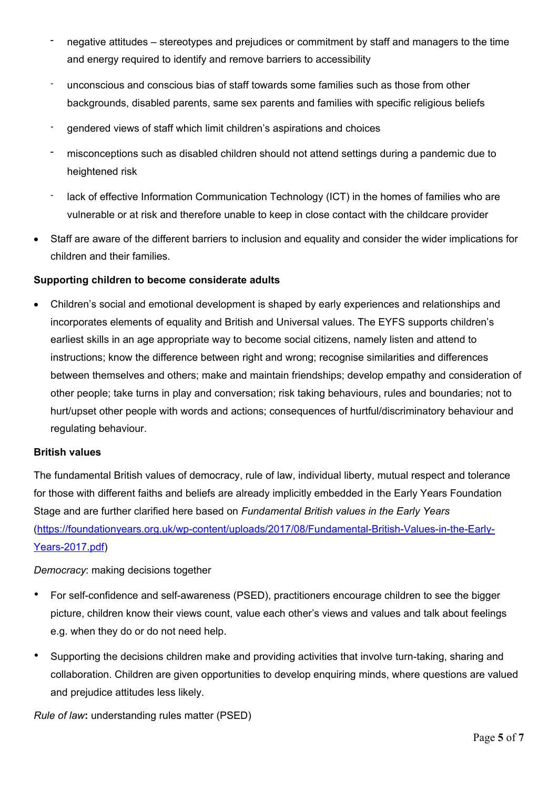- negative attitudes stereotypes and prejudices or commitment by staff and managers to the time and energy required to identify and remove barriers to accessibility
- ‐ unconscious and conscious bias of staff towards some families such as those from other backgrounds, disabled parents, same sex parents and families with specific religious beliefs
- ‐ gendered views of staff which limit children's aspirations and choices
- misconceptions such as disabled children should not attend settings during a pandemic due to heightened risk
- lack of effective Information Communication Technology (ICT) in the homes of families who are vulnerable or at risk and therefore unable to keep in close contact with the childcare provider
- Staff are aware of the different barriers to inclusion and equality and consider the wider implications for children and their families.

#### **Supporting children to become considerate adults**

 Children's social and emotional development is shaped by early experiences and relationships and incorporates elements of equality and British and Universal values. The EYFS supports children's earliest skills in an age appropriate way to become social citizens, namely listen and attend to instructions; know the difference between right and wrong; recognise similarities and differences between themselves and others; make and maintain friendships; develop empathy and consideration of other people; take turns in play and conversation; risk taking behaviours, rules and boundaries; not to hurt/upset other people with words and actions; consequences of hurtful/discriminatory behaviour and regulating behaviour.

#### **British values**

The fundamental British values of democracy, rule of law, individual liberty, mutual respect and tolerance for those with different faiths and beliefs are already implicitly embedded in the Early Years Foundation Stage and are further clarified here based on *Fundamental British values in the Early Years* (https://foundationyears.org.uk/wp-content/uploads/2017/08/Fundamental-British-Values-in-the-Early-Years-2017.pdf)

*Democracy*: making decisions together

- For self-confidence and self-awareness (PSED), practitioners encourage children to see the bigger picture, children know their views count, value each other's views and values and talk about feelings e.g. when they do or do not need help.
- Supporting the decisions children make and providing activities that involve turn-taking, sharing and collaboration. Children are given opportunities to develop enquiring minds, where questions are valued and prejudice attitudes less likely.

*Rule of law***:** understanding rules matter (PSED)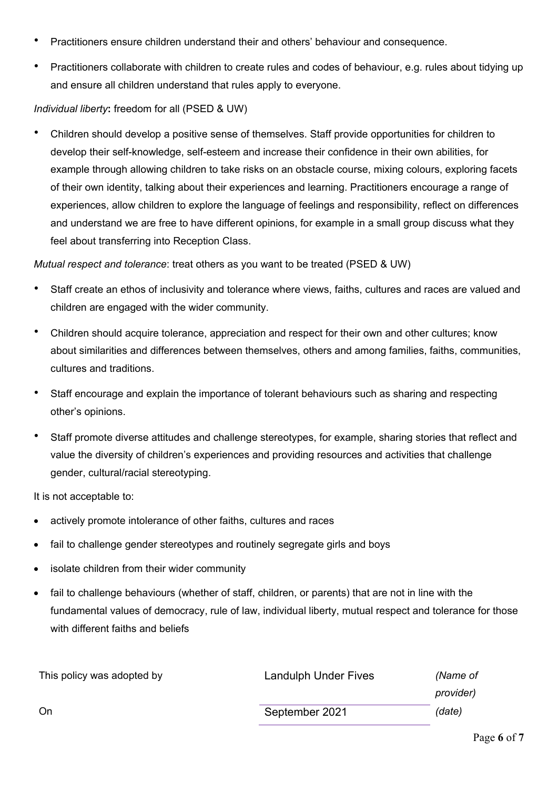- Practitioners ensure children understand their and others' behaviour and consequence.
- Practitioners collaborate with children to create rules and codes of behaviour, e.g. rules about tidying up and ensure all children understand that rules apply to everyone.

### *Individual liberty***:** freedom for all (PSED & UW)

• Children should develop a positive sense of themselves. Staff provide opportunities for children to develop their self-knowledge, self-esteem and increase their confidence in their own abilities, for example through allowing children to take risks on an obstacle course, mixing colours, exploring facets of their own identity, talking about their experiences and learning. Practitioners encourage a range of experiences, allow children to explore the language of feelings and responsibility, reflect on differences and understand we are free to have different opinions, for example in a small group discuss what they feel about transferring into Reception Class.

*Mutual respect and tolerance*: treat others as you want to be treated (PSED & UW)

- Staff create an ethos of inclusivity and tolerance where views, faiths, cultures and races are valued and children are engaged with the wider community.
- Children should acquire tolerance, appreciation and respect for their own and other cultures; know about similarities and differences between themselves, others and among families, faiths, communities, cultures and traditions.
- Staff encourage and explain the importance of tolerant behaviours such as sharing and respecting other's opinions.
- Staff promote diverse attitudes and challenge stereotypes, for example, sharing stories that reflect and value the diversity of children's experiences and providing resources and activities that challenge gender, cultural/racial stereotyping.

It is not acceptable to:

- actively promote intolerance of other faiths, cultures and races
- fail to challenge gender stereotypes and routinely segregate girls and boys
- isolate children from their wider community
- fail to challenge behaviours (whether of staff, children, or parents) that are not in line with the fundamental values of democracy, rule of law, individual liberty, mutual respect and tolerance for those with different faiths and beliefs

| This policy was adopted by | Landulph Under Fives | (Name of  |
|----------------------------|----------------------|-----------|
|                            |                      | provider) |
| On.                        | September 2021       | (date)    |